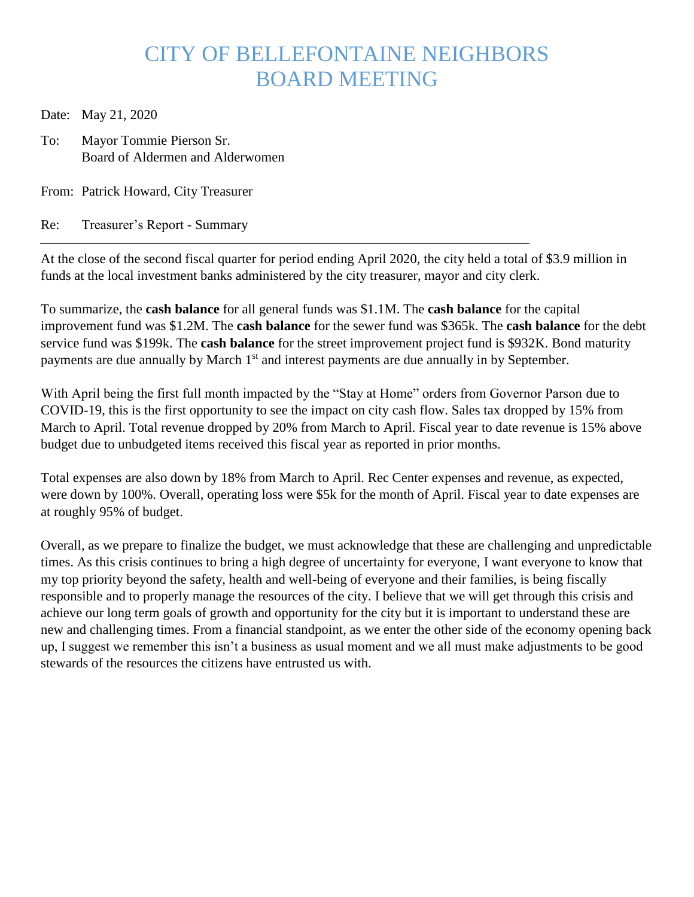## CITY OF BELLEFONTAINE NEIGHBORS BOARD MEETING

Date: May 21, 2020

To: Mayor Tommie Pierson Sr. Board of Aldermen and Alderwomen

From: Patrick Howard, City Treasurer

Re: Treasurer's Report - Summary

At the close of the second fiscal quarter for period ending April 2020, the city held a total of \$3.9 million in funds at the local investment banks administered by the city treasurer, mayor and city clerk.

To summarize, the **cash balance** for all general funds was \$1.1M. The **cash balance** for the capital improvement fund was \$1.2M. The **cash balance** for the sewer fund was \$365k. The **cash balance** for the debt service fund was \$199k. The **cash balance** for the street improvement project fund is \$932K. Bond maturity payments are due annually by March 1<sup>st</sup> and interest payments are due annually in by September.

With April being the first full month impacted by the "Stay at Home" orders from Governor Parson due to COVID-19, this is the first opportunity to see the impact on city cash flow. Sales tax dropped by 15% from March to April. Total revenue dropped by 20% from March to April. Fiscal year to date revenue is 15% above budget due to unbudgeted items received this fiscal year as reported in prior months.

Total expenses are also down by 18% from March to April. Rec Center expenses and revenue, as expected, were down by 100%. Overall, operating loss were \$5k for the month of April. Fiscal year to date expenses are at roughly 95% of budget.

Overall, as we prepare to finalize the budget, we must acknowledge that these are challenging and unpredictable times. As this crisis continues to bring a high degree of uncertainty for everyone, I want everyone to know that my top priority beyond the safety, health and well-being of everyone and their families, is being fiscally responsible and to properly manage the resources of the city. I believe that we will get through this crisis and achieve our long term goals of growth and opportunity for the city but it is important to understand these are new and challenging times. From a financial standpoint, as we enter the other side of the economy opening back up, I suggest we remember this isn't a business as usual moment and we all must make adjustments to be good stewards of the resources the citizens have entrusted us with.